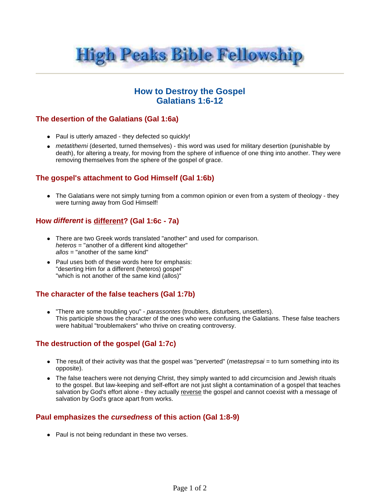

# **How to Destroy the Gospel Galatians 1:6-12**

### **The desertion of the Galatians (Gal 1:6a)**

- Paul is utterly amazed they defected so quickly!
- metatithemi (deserted, turned themselves) this word was used for military desertion (punishable by death), for altering a treaty, for moving from the sphere of influence of one thing into another. They were removing themselves from the sphere of the gospel of grace.

## **The gospel's attachment to God Himself (Gal 1:6b)**

• The Galatians were not simply turning from a common opinion or even from a system of theology - they were turning away from God Himself!

#### **How different is different? (Gal 1:6c - 7a)**

- There are two Greek words translated "another" and used for comparison. heteros = "another of a different kind altogether" allos = "another of the same kind"
- Paul uses both of these words here for emphasis: "deserting Him for a different (heteros) gospel" "which is not another of the same kind (allos)"

## **The character of the false teachers (Gal 1:7b)**

• "There are some troubling you" - parassontes (troublers, disturbers, unsettlers). This participle shows the character of the ones who were confusing the Galatians. These false teachers were habitual "troublemakers" who thrive on creating controversy.

### **The destruction of the gospel (Gal 1:7c)**

- The result of their activity was that the gospel was "perverted" (*metastrepsai* = to turn something into its opposite).
- The false teachers were not denying Christ, they simply wanted to add circumcision and Jewish rituals to the gospel. But law-keeping and self-effort are not just slight a contamination of a gospel that teaches salvation by God's effort alone - they actually reverse the gospel and cannot coexist with a message of salvation by God's grace apart from works.

### **Paul emphasizes the cursedness of this action (Gal 1:8-9)**

• Paul is not being redundant in these two verses.